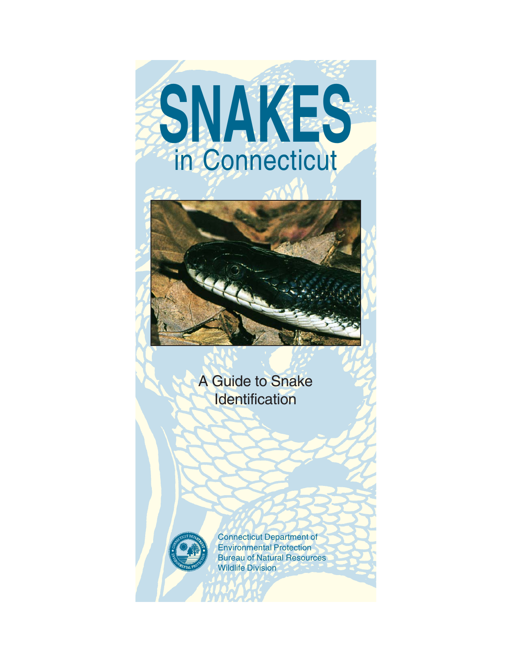# **SNAKES** in Connecticut



### A Guide to Snake **Identification**



Connecticut Department of Environmental Protection Bureau of Natural Resources Wildlife Division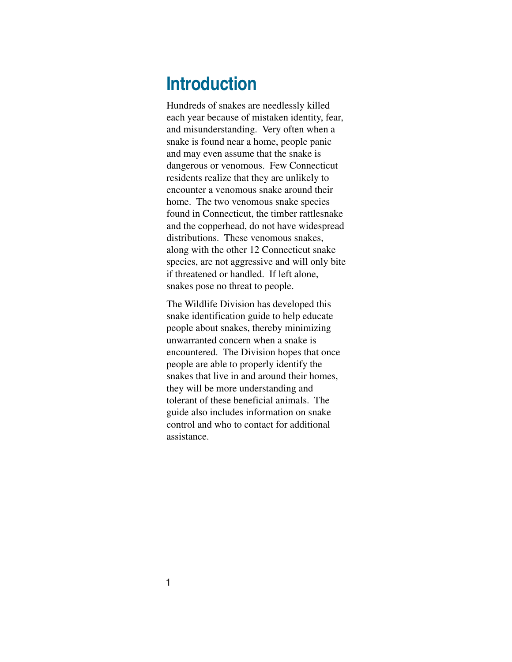# **Introduction**

Hundreds of snakes are needlessly killed each year because of mistaken identity, fear, and misunderstanding. Very often when a snake is found near a home, people panic and may even assume that the snake is dangerous or venomous. Few Connecticut residents realize that they are unlikely to encounter a venomous snake around their home. The two venomous snake species found in Connecticut, the timber rattlesnake and the copperhead, do not have widespread distributions. These venomous snakes, along with the other 12 Connecticut snake species, are not aggressive and will only bite if threatened or handled. If left alone, snakes pose no threat to people.

The Wildlife Division has developed this snake identification guide to help educate people about snakes, thereby minimizing unwarranted concern when a snake is encountered. The Division hopes that once people are able to properly identify the snakes that live in and around their homes, they will be more understanding and tolerant of these beneficial animals. The guide also includes information on snake control and who to contact for additional assistance.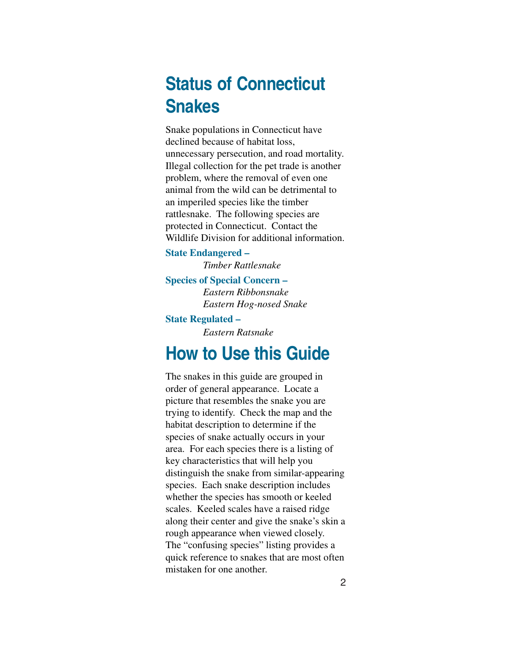# **Status of Connecticut Snakes**

Snake populations in Connecticut have declined because of habitat loss, unnecessary persecution, and road mortality. Illegal collection for the pet trade is another problem, where the removal of even one animal from the wild can be detrimental to an imperiled species like the timber rattlesnake. The following species are protected in Connecticut. Contact the Wildlife Division for additional information.

**State Endangered –** *Timber Rattlesnake*

**Species of Special Concern –** *Eastern Ribbonsnake Eastern Hog-nosed Snake*

**State Regulated –**

*Eastern Ratsnake*

# **How to Use this Guide**

The snakes in this guide are grouped in order of general appearance. Locate a picture that resembles the snake you are trying to identify. Check the map and the habitat description to determine if the species of snake actually occurs in your area. For each species there is a listing of key characteristics that will help you distinguish the snake from similar-appearing species. Each snake description includes whether the species has smooth or keeled scales. Keeled scales have a raised ridge along their center and give the snake's skin a rough appearance when viewed closely. The "confusing species" listing provides a quick reference to snakes that are most often mistaken for one another.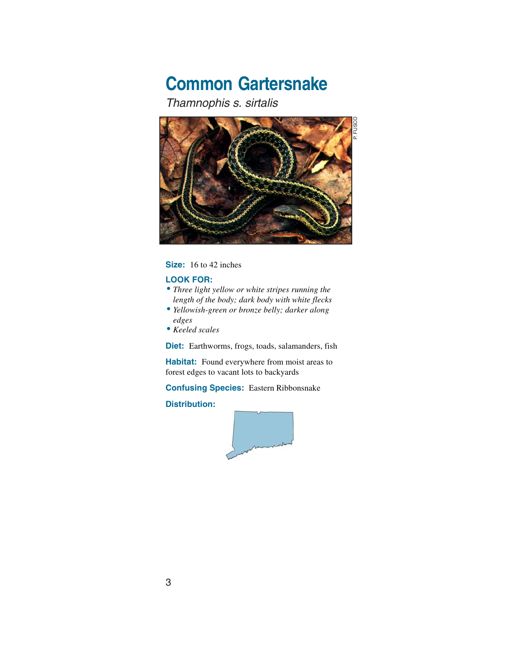# **Common Gartersnake**

Thamnophis s. sirtalis



**Size:** 16 to 42 inches

#### **LOOK FOR:**

- •*Three light yellow or white stripes running the length of the body; dark body with white flecks*
- •*Yellowish-green or bronze belly; darker along edges*
- *Keeled scales*

**Diet:** Earthworms, frogs, toads, salamanders, fish

**Habitat:** Found everywhere from moist areas to forest edges to vacant lots to backyards

**Confusing Species:** Eastern Ribbonsnake

#### **Distribution:**



3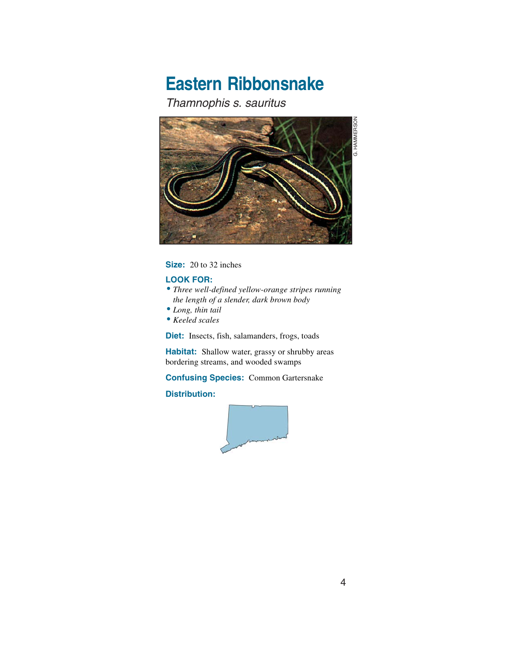# **Eastern Ribbonsnake**

#### Thamnophis s. sauritus



**Size:** 20 to 32 inches

#### **LOOK FOR:**

- •*Three well-defined yellow-orange stripes running the length of a slender, dark brown body*
- •*Long, thin tail*
- *Keeled scales*

**Diet:** Insects, fish, salamanders, frogs, toads

**Habitat:** Shallow water, grassy or shrubby areas bordering streams, and wooded swamps

**Confusing Species:** Common Gartersnake

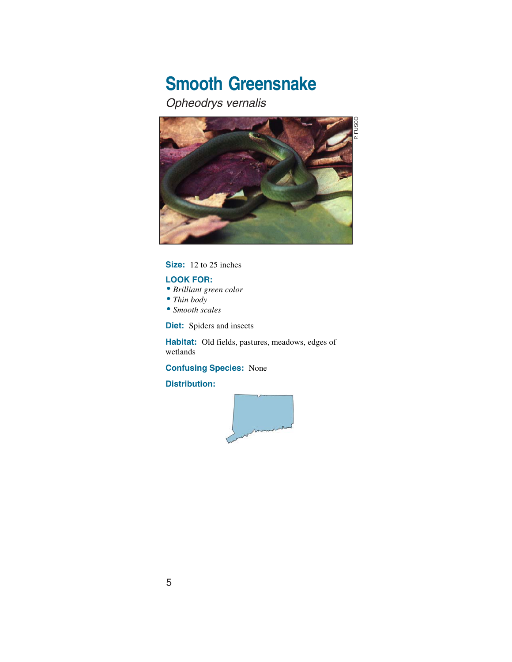# **Smooth Greensnake**

### Opheodrys vernalis



**Size:** 12 to 25 inches

#### **LOOK FOR:**

- *Brilliant green color*
- •*Thin body*
- •*Smooth scales*

**Diet:** Spiders and insects

**Habitat:** Old fields, pastures, meadows, edges of wetlands

#### **Confusing Species:** None

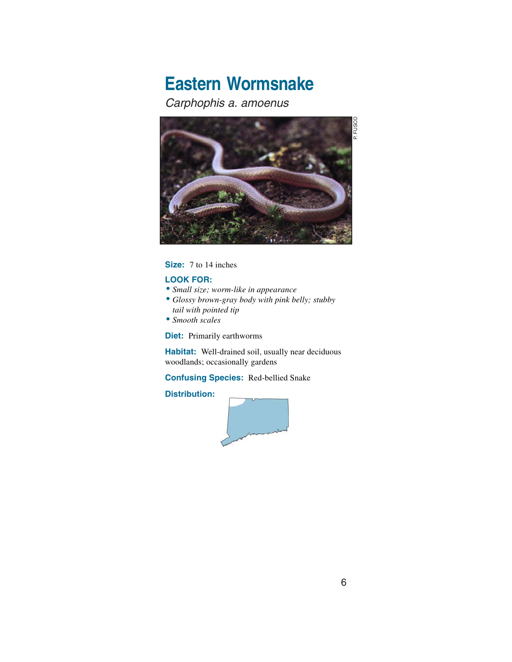# **Eastern Wormsnake**

### Carphophis a. amoenus



#### **Size:** 7 to 14 inches

#### **LOOK FOR:**

- •*Small size; worm-like in appearance*
- *Glossy brown-gray body with pink belly; stubby tail with pointed tip*
- •*Smooth scales*

**Diet:** Primarily earthworms

**Habitat:** Well-drained soil, usually near deciduous woodlands; occasionally gardens

#### **Confusing Species:** Red-bellied Snake

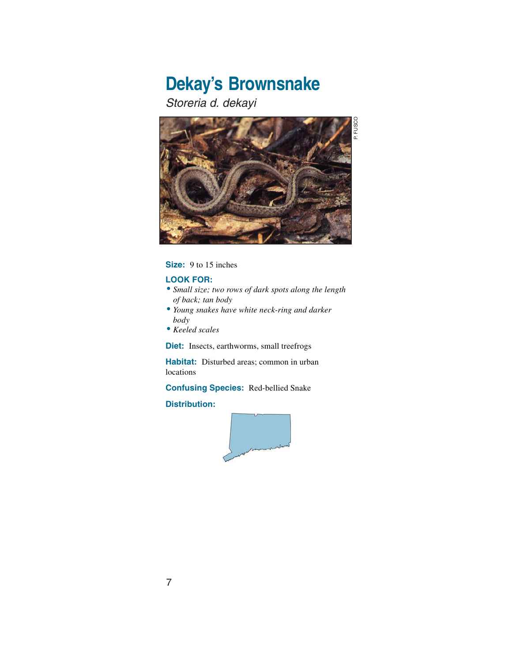# **Dekay's Brownsnake**

Storeria d. dekayi



**Size:** 9 to 15 inches

#### **LOOK FOR:**

- •*Small size; two rows of dark spots along the length of back; tan body*
- •*Young snakes have white neck-ring and darker body*
- *Keeled scales*

**Diet:** Insects, earthworms, small treefrogs

**Habitat:** Disturbed areas; common in urban locations

**Confusing Species:** Red-bellied Snake



P. FUSCOP. FUSCC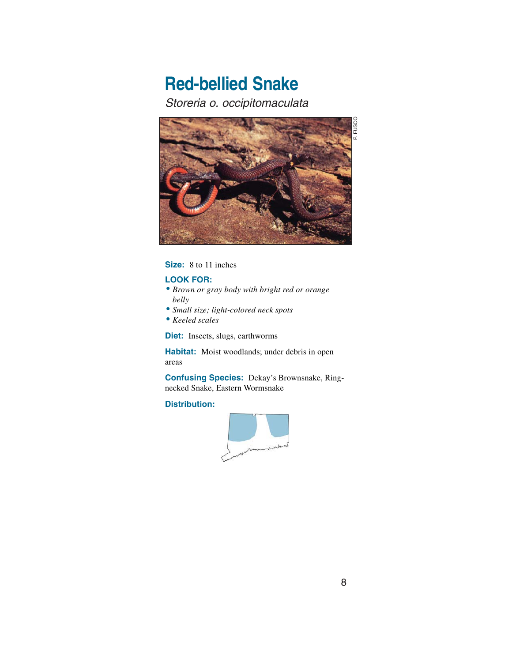# **Red-bellied Snake**

Storeria o. occipitomaculata



#### **Size:** 8 to 11 inches

#### **LOOK FOR:**

- *Brown or gray body with bright red or orange belly*
- •*Small size; light-colored neck spots*
- *Keeled scales*

**Diet:** Insects, slugs, earthworms

**Habitat:** Moist woodlands; under debris in open areas

**Confusing Species:** Dekay's Brownsnake, Ringnecked Snake, Eastern Wormsnake

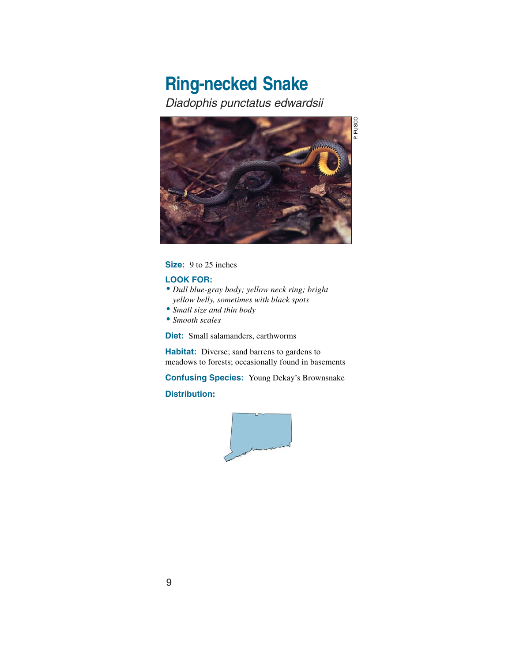### **Ring-necked Snake** Diadophis punctatus edwardsii



**Size:** 9 to 25 inches

#### **LOOK FOR:**

- *Dull blue-gray body; yellow neck ring; bright yellow belly, sometimes with black spots*
- •*Small size and thin body*
- •*Smooth scales*

**Diet:** Small salamanders, earthworms

**Habitat:** Diverse; sand barrens to gardens to meadows to forests; occasionally found in basements

**Confusing Species:** Young Dekay's Brownsnake **Distribution:**



9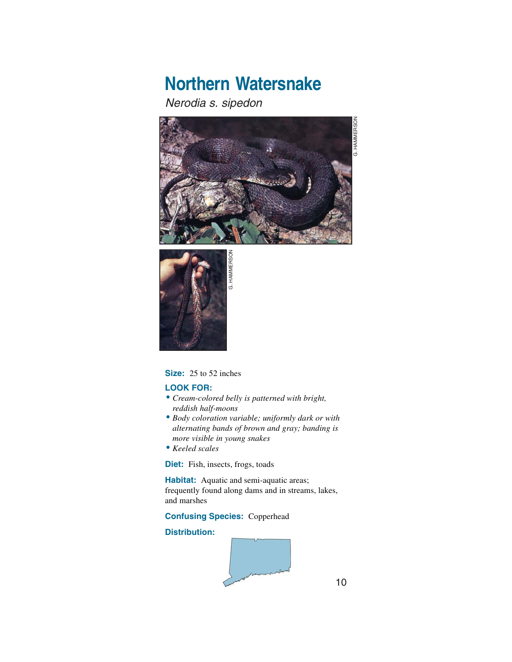# **Northern Watersnake**

#### Nerodia s. sipedon





#### **Size:** 25 to 52 inches

#### **LOOK FOR:**

- *Cream-colored belly is patterned with bright, reddish half-moons*
- *Body coloration variable; uniformly dark or with alternating bands of brown and gray; banding is more visible in young snakes*
- *Keeled scales*

**Diet:** Fish, insects, frogs, toads

**Habitat:** Aquatic and semi-aquatic areas; frequently found along dams and in streams, lakes, and marshes

#### **Confusing Species:** Copperhead

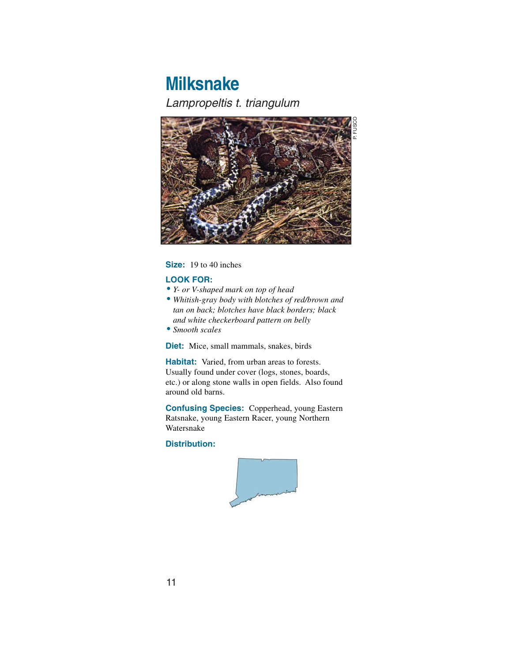### **Milksnake** Lampropeltis t. triangulum



#### **Size:** 19 to 40 inches

#### **LOOK FOR:**

- •*Y- or V-shaped mark on top of head*
- *Whitish-gray body with blotches of red/brown and tan on back; blotches have black borders; black and white checkerboard pattern on belly*
- •*Smooth scales*

**Diet:** Mice, small mammals, snakes, birds

**Habitat:** Varied, from urban areas to forests. Usually found under cover (logs, stones, boards, etc.) or along stone walls in open fields. Also found around old barns.

**Confusing Species:** Copperhead, young Eastern Ratsnake, young Eastern Racer, young Northern Watersnake

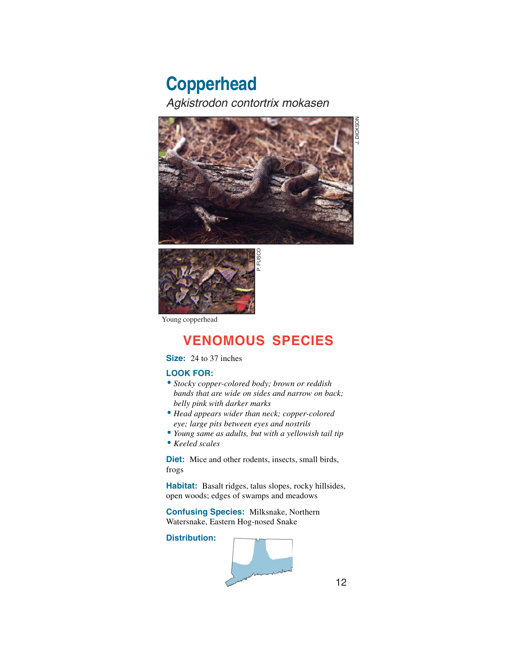### **Copperhead** Agkistrodon contortrix mokasen





Young copperhead

### **VENOMOUS SPECIES**

#### **Size:** 24 to 37 inches

#### **LOOK FOR:**

- •*Stocky copper-colored body; brown or reddish bands that are wide on sides and narrow on back; belly pink with darker marks*
- *Head appears wider than neck; copper-colored eye; large pits between eyes and nostrils*
- •*Young same as adults, but with a yellowish tail tip*
- *Keeled scales*

**Diet:** Mice and other rodents, insects, small birds, frogs

**Habitat:** Basalt ridges, talus slopes, rocky hillsides, open woods; edges of swamps and meadows

**Confusing Species:** Milksnake, Northern Watersnake, Eastern Hog-nosed Snake

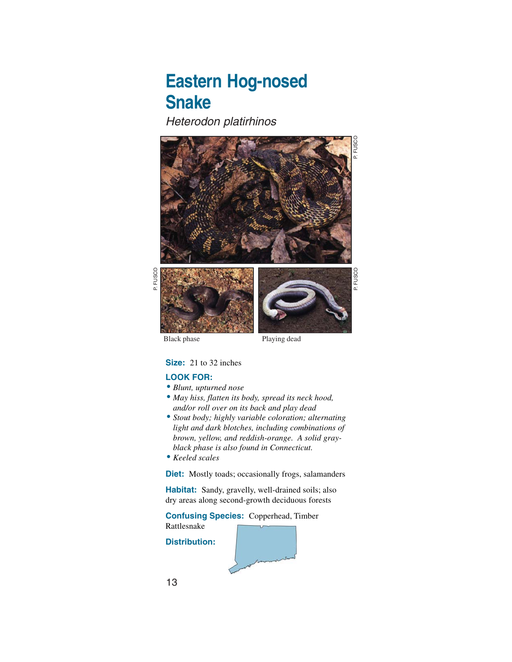## **Eastern Hog-nosed Snake**

Heterodon platirhinos



P. FUSCO

P. FUSCC

Black phase Playing dead

#### **Size:** 21 to 32 inches

#### **LOOK FOR:**

- *Blunt, upturned nose*
- *May hiss, flatten its body, spread its neck hood, and/or roll over on its back and play dead*
- •*Stout body; highly variable coloration; alternating light and dark blotches, including combinations of brown, yellow, and reddish-orange. A solid grayblack phase is also found in Connecticut.*
- *Keeled scales*

**Diet:** Mostly toads; occasionally frogs, salamanders

**Habitat:** Sandy, gravelly, well-drained soils; also dry areas along second-growth deciduous forests

**Confusing Species:** Copperhead, Timber Rattlesnake

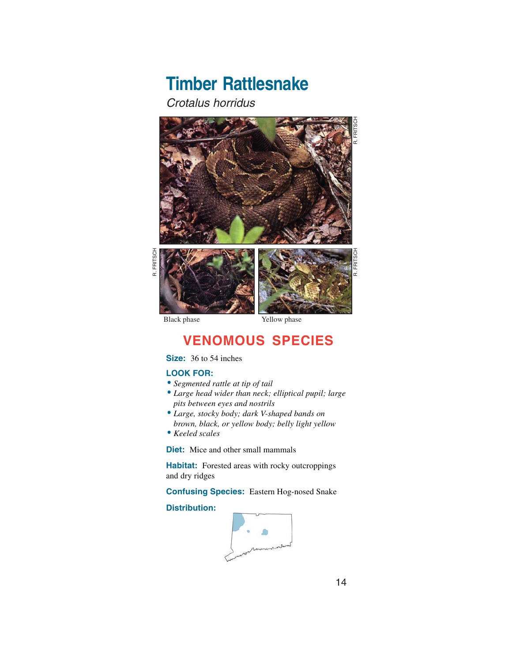# **Timber Rattlesnake**

Crotalus horridus



R. FRITSCH R. FRITSCH



### **VENOMOUS SPECIES**

#### **Size:** 36 to 54 inches

#### **LOOK FOR:**

- •*Segmented rattle at tip of tail*
- •*Large head wider than neck; elliptical pupil; large pits between eyes and nostrils*
- •*Large, stocky body; dark V-shaped bands on brown, black, or yellow body; belly light yellow*
- *Keeled scales*

**Diet:** Mice and other small mammals

**Habitat:** Forested areas with rocky outcroppings and dry ridges

**Confusing Species:** Eastern Hog-nosed Snake

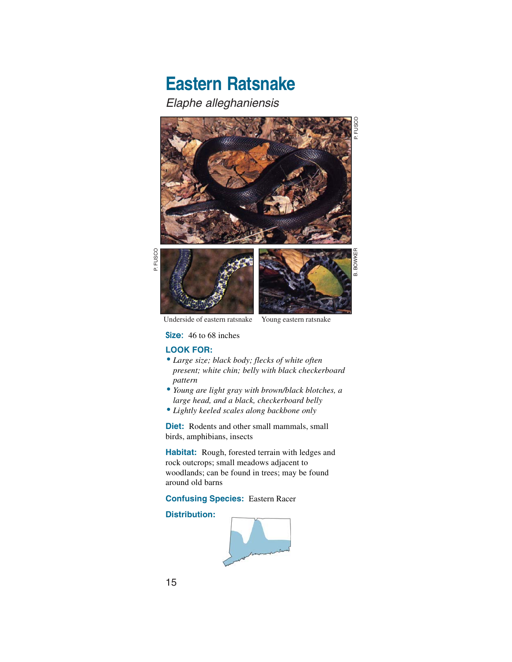# **Eastern Ratsnake**

Elaphe alleghaniensis



P. FUSCOP. FUSCC



Underside of eastern ratsnake Young eastern ratsnake

**Size:** 46 to 68 inches

#### **LOOK FOR:**

- •*Large size; black body; flecks of white often present; white chin; belly with black checkerboard pattern*
- •*Young are light gray with brown/black blotches, a large head, and a black, checkerboard belly*
- •*Lightly keeled scales along backbone only*

**Diet:** Rodents and other small mammals, small birds, amphibians, insects

**Habitat:** Rough, forested terrain with ledges and rock outcrops; small meadows adjacent to woodlands; can be found in trees; may be found around old barns

**Confusing Species:** Eastern Racer

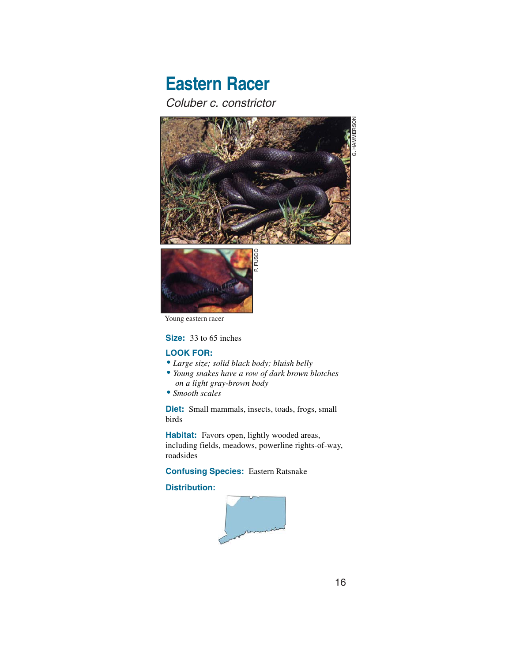### **Eastern Racer** Coluber c. constrictor



Young eastern racer

#### **Size:** 33 to 65 inches

#### **LOOK FOR:**

- •*Large size; solid black body; bluish belly*
- •*Young snakes have a row of dark brown blotches on a light gray-brown body*
- •*Smooth scales*

**Diet:** Small mammals, insects, toads, frogs, small birds

**Habitat:** Favors open, lightly wooded areas, including fields, meadows, powerline rights-of-way, roadsides

**Confusing Species:** Eastern Ratsnake

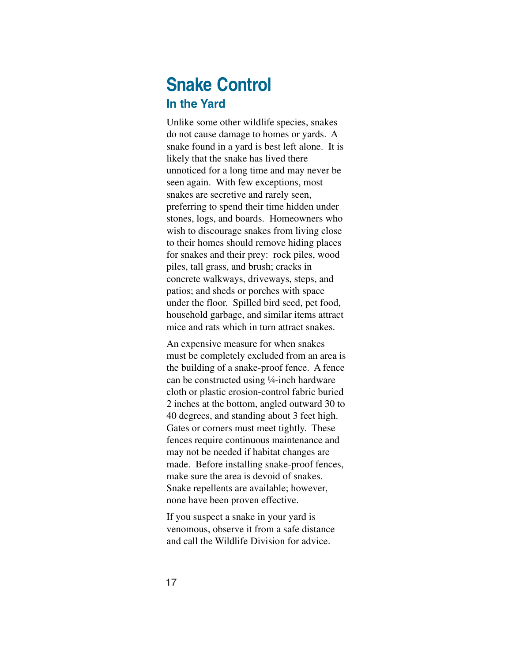### **Snake Control In the Yard**

Unlike some other wildlife species, snakes do not cause damage to homes or yards. A snake found in a yard is best left alone. It is likely that the snake has lived there unnoticed for a long time and may never be seen again. With few exceptions, most snakes are secretive and rarely seen, preferring to spend their time hidden under stones, logs, and boards. Homeowners who wish to discourage snakes from living close to their homes should remove hiding places for snakes and their prey: rock piles, wood piles, tall grass, and brush; cracks in concrete walkways, driveways, steps, and patios; and sheds or porches with space under the floor. Spilled bird seed, pet food, household garbage, and similar items attract mice and rats which in turn attract snakes.

An expensive measure for when snakes must be completely excluded from an area is the building of a snake-proof fence. A fence can be constructed using ¼-inch hardware cloth or plastic erosion-control fabric buried 2 inches at the bottom, angled outward 30 to 40 degrees, and standing about 3 feet high. Gates or corners must meet tightly. These fences require continuous maintenance and may not be needed if habitat changes are made. Before installing snake-proof fences, make sure the area is devoid of snakes. Snake repellents are available; however, none have been proven effective.

If you suspect a snake in your yard is venomous, observe it from a safe distance and call the Wildlife Division for advice.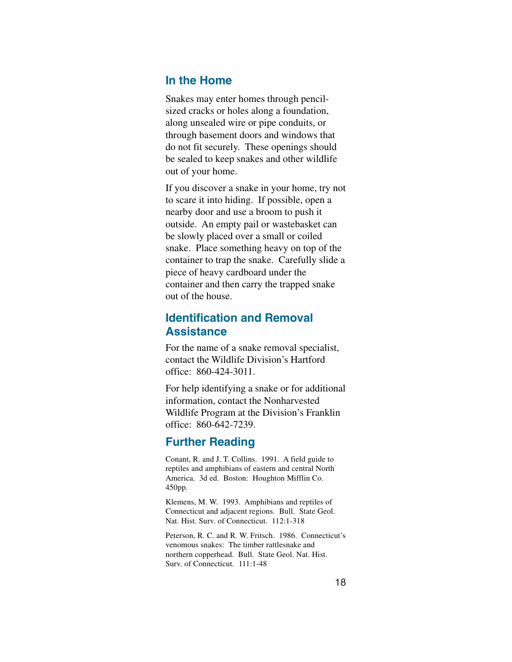### **In the Home**

Snakes may enter homes through pencilsized cracks or holes along a foundation, along unsealed wire or pipe conduits, or through basement doors and windows that do not fit securely. These openings should be sealed to keep snakes and other wildlife out of your home.

If you discover a snake in your home, try not to scare it into hiding. If possible, open a nearby door and use a broom to push it outside. An empty pail or wastebasket can be slowly placed over a small or coiled snake. Place something heavy on top of the container to trap the snake. Carefully slide a piece of heavy cardboard under the container and then carry the trapped snake out of the house.

### **Identification and Removal Assistance**

For the name of a snake removal specialist, contact the Wildlife Division's Hartford office: 860-424-3011.

For help identifying a snake or for additional information, contact the Nonharvested Wildlife Program at the Division's Franklin office: 860-642-7239.

### **Further Reading**

Conant, R. and J. T. Collins. 1991. A field guide to reptiles and amphibians of eastern and central North America. 3d ed. Boston: Houghton Mifflin Co. 450pp.

Klemens, M. W. 1993. Amphibians and reptiles of Connecticut and adjacent regions. Bull. State Geol. Nat. Hist. Surv. of Connecticut. 112:1-318

Peterson, R. C. and R. W. Fritsch. 1986. Connecticut's venomous snakes: The timber rattlesnake and northern copperhead. Bull. State Geol. Nat. Hist. Surv. of Connecticut. 111:1-48